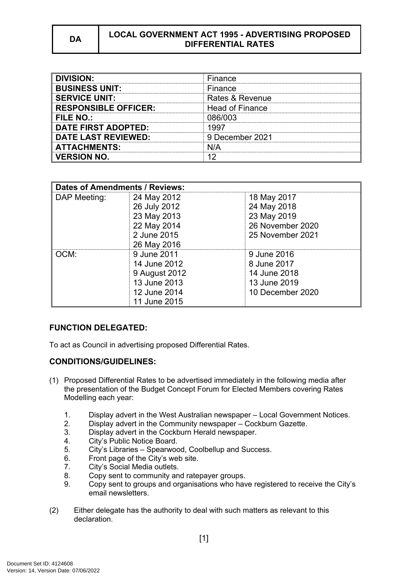# **DA LOCAL GOVERNMENT ACT 1995 - ADVERTISING PROPOSED DIFFERENTIAL RATES**

| <b>DIVISION:</b>            | Finance                |
|-----------------------------|------------------------|
| <b>BUSINESS UNIT:</b>       | Finance                |
| <b>SERVICE UNIT:</b>        | Rates & Revenue        |
| <b>RESPONSIBLE OFFICER:</b> | <b>Head of Finance</b> |
| FILE NO.:                   | ᲘᲒᲜ/ᲘᲘᲕ                |
| <b>DATE FIRST ADOPTED:</b>  | 1997                   |
| <b>DATE LAST REVIEWED:</b>  | 9 December 2021        |
| <b>ATTACHMENTS:</b>         | N/A                    |
| <b>VERSION NO.</b>          |                        |

| <b>Dates of Amendments / Reviews:</b> |               |                  |
|---------------------------------------|---------------|------------------|
| DAP Meeting:                          | 24 May 2012   | 18 May 2017      |
|                                       | 26 July 2012  | 24 May 2018      |
|                                       | 23 May 2013   | 23 May 2019      |
|                                       | 22 May 2014   | 26 November 2020 |
|                                       | 2 June 2015   | 25 November 2021 |
|                                       | 26 May 2016   |                  |
| OCM.                                  | 9 June 2011   | 9 June 2016      |
|                                       | 14 June 2012  | 8 June 2017      |
|                                       | 9 August 2012 | 14 June 2018     |
|                                       | 13 June 2013  | 13 June 2019     |
|                                       | 12 June 2014  | 10 December 2020 |
|                                       | 11 June 2015  |                  |

### **FUNCTION DELEGATED:**

To act as Council in advertising proposed Differential Rates.

# **CONDITIONS/GUIDELINES:**

- (1) Proposed Differential Rates to be advertised immediately in the following media after the presentation of the Budget Concept Forum for Elected Members covering Rates Modelling each year:
	- 1. Display advert in the West Australian newspaper Local Government Notices.
	- 2. Display advert in the Community newspaper Cockburn Gazette.
	- 3. Display advert in the Cockburn Herald newspaper.
	- 4. City's Public Notice Board.<br>5. City's Libraries Spearwoo
	- City's Libraries Spearwood, Coolbellup and Success.
	- 6. Front page of the City's web site.
	- 7. City's Social Media outlets.
	- 8. Copy sent to community and ratepayer groups.
	- 9. Copy sent to groups and organisations who have registered to receive the City's email newsletters.
- (2) Either delegate has the authority to deal with such matters as relevant to this declaration.